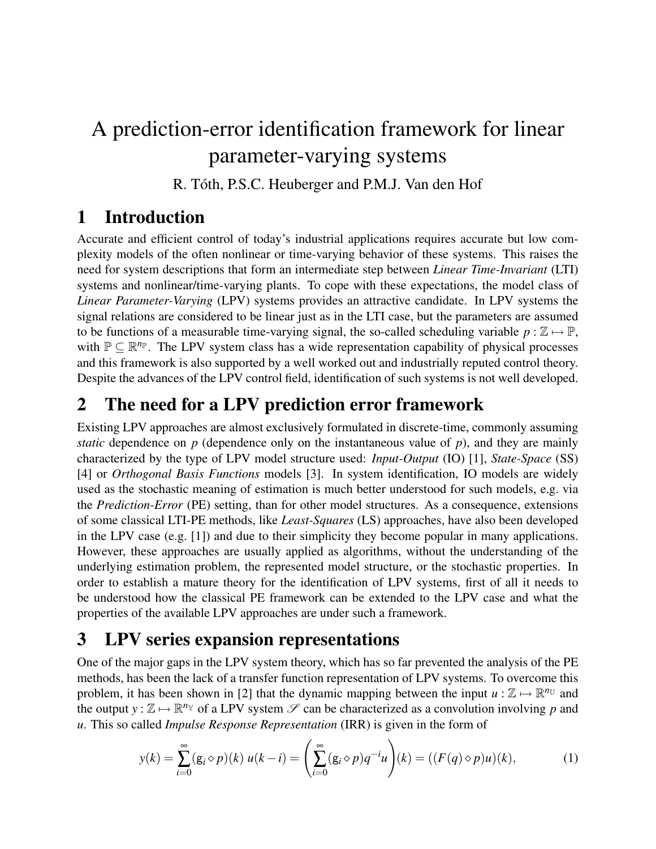# A prediction-error identification framework for linear parameter-varying systems

R. Tóth, P.S.C. Heuberger and P.M.J. Van den Hof

## 1 Introduction

Accurate and efficient control of today's industrial applications requires accurate but low complexity models of the often nonlinear or time-varying behavior of these systems. This raises the need for system descriptions that form an intermediate step between *Linear Time-Invariant* (LTI) systems and nonlinear/time-varying plants. To cope with these expectations, the model class of *Linear Parameter-Varying* (LPV) systems provides an attractive candidate. In LPV systems the signal relations are considered to be linear just as in the LTI case, but the parameters are assumed to be functions of a measurable time-varying signal, the so-called scheduling variable  $p : \mathbb{Z} \mapsto \mathbb{P}$ , with  $\mathbb{P} \subseteq \mathbb{R}^{n_{\mathbb{P}}}$ . The LPV system class has a wide representation capability of physical processes and this framework is also supported by a well worked out and industrially reputed control theory. Despite the advances of the LPV control field, identification of such systems is not well developed.

## 2 The need for a LPV prediction error framework

Existing LPV approaches are almost exclusively formulated in discrete-time, commonly assuming *static* dependence on  $p$  (dependence only on the instantaneous value of  $p$ ), and they are mainly characterized by the type of LPV model structure used: *Input-Output* (IO) [1], *State-Space* (SS) [4] or *Orthogonal Basis Functions* models [3]. In system identification, IO models are widely used as the stochastic meaning of estimation is much better understood for such models, e.g. via the *Prediction-Error* (PE) setting, than for other model structures. As a consequence, extensions of some classical LTI-PE methods, like *Least-Squares* (LS) approaches, have also been developed in the LPV case (e.g. [1]) and due to their simplicity they become popular in many applications. However, these approaches are usually applied as algorithms, without the understanding of the underlying estimation problem, the represented model structure, or the stochastic properties. In order to establish a mature theory for the identification of LPV systems, first of all it needs to be understood how the classical PE framework can be extended to the LPV case and what the properties of the available LPV approaches are under such a framework.

### 3 LPV series expansion representations

One of the major gaps in the LPV system theory, which has so far prevented the analysis of the PE methods, has been the lack of a transfer function representation of LPV systems. To overcome this problem, it has been shown in [2] that the dynamic mapping between the input  $u : \mathbb{Z} \mapsto \mathbb{R}^{n_{\mathbb{U}}}$  and the output  $y : \mathbb{Z} \mapsto \mathbb{R}^{n_{\mathbb{Y}}}$  of a LPV system  $\mathscr{S}$  can be characterized as a convolution involving p and *u*. This so called *Impulse Response Representation* (IRR) is given in the form of

$$
y(k) = \sum_{i=0}^{\infty} (g_i \diamond p)(k) u(k-i) = \left(\sum_{i=0}^{\infty} (g_i \diamond p) q^{-i} u\right)(k) = ((F(q) \diamond p) u)(k), \tag{1}
$$